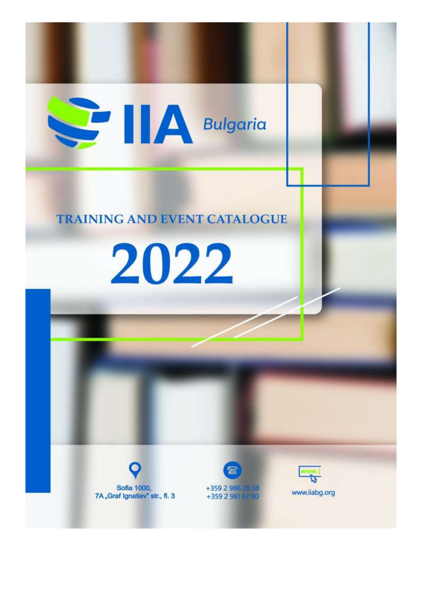

# **TRAINING AND EVENT CATALOGUE**







www.iiabg.org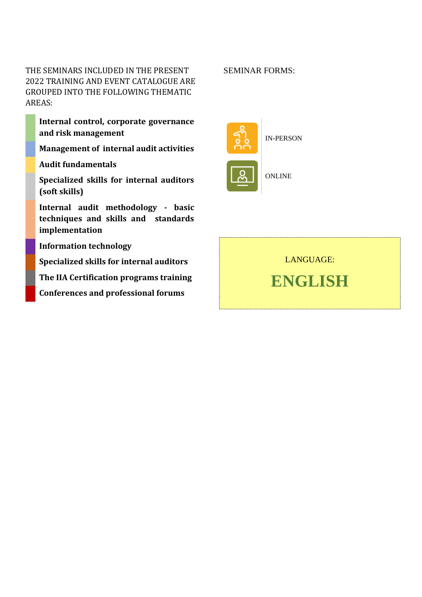THE SEMINARS INCLUDED IN THE PRESENT 2022 ТRAINING AND ЕVENT CATALOGUE ARE GROUPED INTO THE FOLLOWING THEMATIC AREAS:

**Internal control, corporate governance and risk management**

**Management of internal audit activities**

**Audit fundamentals**

**Specialized skills for internal auditors (soft skills)**

**Internal audit methodology - basic techniques and skills and standards implementation**

**Information technology**

**Specialized skills for internal auditors**

**The IIA Сertification programs training**

**Conferences and professional forums**

# SEMINAR FORMS:



LANGUAGE:

**ENGLISH**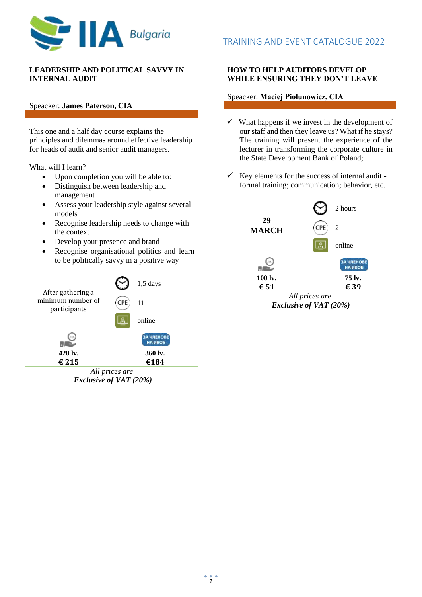

## **LEADERSHIP AND POLITICAL SAVVY IN INTERNAL AUDIT**

## Speacker: **James Paterson, CIA**

This one and a half day course explains the principles and dilemmas around effective leadership for heads of audit and senior audit managers.

What will I learn?

- Upon completion you will be able to:
- Distinguish between leadership and management
- Assess your leadership style against several models
- Recognise leadership needs to change with the context
- Develop your presence and brand
- Recognise organisational politics and learn to be politically savvy in a positive way



*All prices are Exclusive of VAT (20%)*

# **HOW TO HELP AUDITORS DEVELOP WHILE ENSURING THEY DON'T LEAVE**

### Speacker: **Maciej Piołunowicz, CIA**

- $\checkmark$  What happens if we invest in the development of our staff and then they leave us? What if he stays? The training will present the experience of the lecturer in transforming the corporate culture in the State Development Bank of Poland;
- $\checkmark$  Key elements for the success of internal audit formal training; communication; behavior, etc.



*Exclusive of VAT (20%)*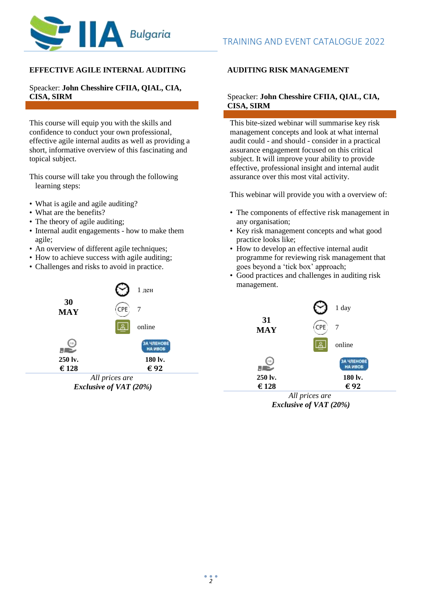

# **EFFECTIVE AGILE INTERNAL AUDITING**

# Speacker: **John Chesshire CFIIA, QIAL, CIA, CISA, SIRM**

This course will equip you with the skills and confidence to conduct your own professional, effective agile internal audits as well as providing a short, informative overview of this fascinating and topical subject.

- This course will take you through the following learning steps:
- What is agile and agile auditing?
- What are the benefits?
- The theory of agile auditing:
- Internal audit engagements how to make them agile;
- An overview of different agile techniques:
- How to achieve success with agile auditing;
- Challenges and risks to avoid in practice.



*All prices are Exclusive of VAT (20%)*

# **AUDITING RISK MANAGEMENT**

## Speacker: **John Chesshire CFIIA, QIAL, CIA, CISA, SIRM**

This bite-sized webinar will summarise key risk management concepts and look at what internal audit could - and should - consider in a practical assurance engagement focused on this critical subject. It will improve your ability to provide effective, professional insight and internal audit assurance over this most vital activity.

This webinar will provide you with a overview of:

- The components of effective risk management in any organisation;
- Key risk management concepts and what good practice looks like;
- How to develop an effective internal audit programme for reviewing risk management that goes beyond a 'tick box' approach;
- Good practices and challenges in auditing risk management.



*Exclusive of VAT (20%)*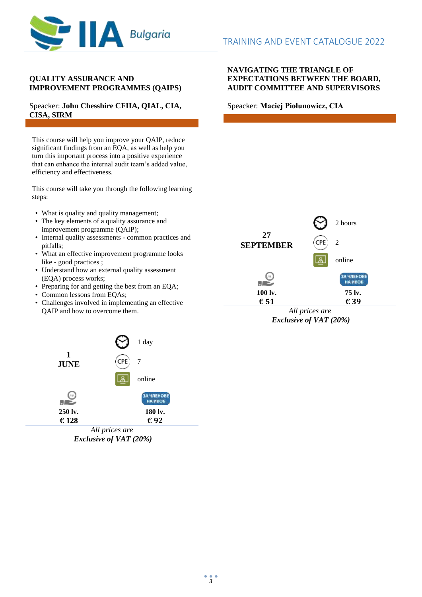

# **QUALITY ASSURANCE AND IMPROVEMENT PROGRAMMES (QAIPS)**

Speacker: **John Chesshire CFIIA, QIAL, CIA, CISA, SIRM**

This course will help you improve your QAIP, reduce significant findings from an EQA, as well as help you turn this important process into a positive experience that can enhance the internal audit team's added value, efficiency and effectiveness.

This course will take you through the following learning steps:

- What is quality and quality management;
- The key elements of a quality assurance and improvement programme (QAIP);
- Internal quality assessments common practices and pitfalls;
- What an effective improvement programme looks like - good practices ;
- Understand how an external quality assessment (EQA) process works;
- Preparing for and getting the best from an EQA;
- Common lessons from EQAs;
- Challenges involved in implementing an effective QAIP and how to overcome them.



# **NAVIGATING THE TRIANGLE OF EXPECTATIONS BETWEEN THE BOARD, AUDIT COMMITTEE AND SUPERVISORS**

Speacker: **Maciej Piołunowicz, CIA**



*All prices are Exclusive of VAT (20%)*



*All prices are Exclusive of VAT (20%)*